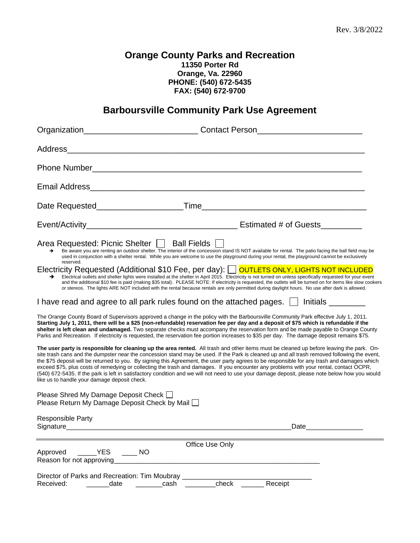# **Orange County Parks and Recreation 11350 Porter Rd Orange, Va. 22960 PHONE: (540) 672-5435 FAX: (540) 672-9700**

# **Barboursville Community Park Use Agreement**

|                                                                                                                                                                                                                                                                                                                                                                                                                                                                                                                                                                                                                                                                                                                                                                                       | Organization_________________________________Contact Person_____________________                                                                                                                                                                                                                                                                                                                                                                                                                                                                                           |
|---------------------------------------------------------------------------------------------------------------------------------------------------------------------------------------------------------------------------------------------------------------------------------------------------------------------------------------------------------------------------------------------------------------------------------------------------------------------------------------------------------------------------------------------------------------------------------------------------------------------------------------------------------------------------------------------------------------------------------------------------------------------------------------|----------------------------------------------------------------------------------------------------------------------------------------------------------------------------------------------------------------------------------------------------------------------------------------------------------------------------------------------------------------------------------------------------------------------------------------------------------------------------------------------------------------------------------------------------------------------------|
|                                                                                                                                                                                                                                                                                                                                                                                                                                                                                                                                                                                                                                                                                                                                                                                       |                                                                                                                                                                                                                                                                                                                                                                                                                                                                                                                                                                            |
|                                                                                                                                                                                                                                                                                                                                                                                                                                                                                                                                                                                                                                                                                                                                                                                       | Phone Number <b>Number 2006</b>                                                                                                                                                                                                                                                                                                                                                                                                                                                                                                                                            |
|                                                                                                                                                                                                                                                                                                                                                                                                                                                                                                                                                                                                                                                                                                                                                                                       |                                                                                                                                                                                                                                                                                                                                                                                                                                                                                                                                                                            |
|                                                                                                                                                                                                                                                                                                                                                                                                                                                                                                                                                                                                                                                                                                                                                                                       |                                                                                                                                                                                                                                                                                                                                                                                                                                                                                                                                                                            |
|                                                                                                                                                                                                                                                                                                                                                                                                                                                                                                                                                                                                                                                                                                                                                                                       |                                                                                                                                                                                                                                                                                                                                                                                                                                                                                                                                                                            |
| Area Requested: Picnic Shelter   Ball Fields  <br>Be aware you are renting an outdoor shelter. The interior of the concession stand IS NOT available for rental. The patio facing the ball field may be<br>→<br>used in conjunction with a shelter rental. While you are welcome to use the playground during your rental, the playground cannot be exclusively<br>reserved.                                                                                                                                                                                                                                                                                                                                                                                                          |                                                                                                                                                                                                                                                                                                                                                                                                                                                                                                                                                                            |
|                                                                                                                                                                                                                                                                                                                                                                                                                                                                                                                                                                                                                                                                                                                                                                                       | Electricity Requested (Additional \$10 Fee, per day): OUTLETS ONLY, LIGHTS NOT INCLUDED<br>Electrical outlets and shelter lights were installed at the shelter in April 2015. Electricity is not turned on unless specifically requested for your event<br>and the additional \$10 fee is paid (making \$35 total). PLEASE NOTE: If electricity is requested, the outlets will be turned on for items like slow cookers<br>or stereos. The lights ARE NOT included with the rental because rentals are only permitted during daylight hours. No use after dark is allowed. |
|                                                                                                                                                                                                                                                                                                                                                                                                                                                                                                                                                                                                                                                                                                                                                                                       | I have read and agree to all park rules found on the attached pages.     Initials ______                                                                                                                                                                                                                                                                                                                                                                                                                                                                                   |
| The Orange County Board of Supervisors approved a change in the policy with the Barboursville Community Park effective July 1, 2011.<br>Starting July 1, 2011, there will be a \$25 (non-refundable) reservation fee per day and a deposit of \$75 which is refundable if the<br>shelter is left clean and undamaged. Two separate checks must accompany the reservation form and be made payable to Orange County<br>Parks and Recreation. If electricity is requested, the reservation fee portion increases to \$35 per day. The damage deposit remains \$75.                                                                                                                                                                                                                      |                                                                                                                                                                                                                                                                                                                                                                                                                                                                                                                                                                            |
| The user party is responsible for cleaning up the area rented. All trash and other items must be cleaned up before leaving the park. On-<br>site trash cans and the dumpster near the concession stand may be used. If the Park is cleaned up and all trash removed following the event,<br>the \$75 deposit will be returned to you. By signing this Agreement, the user party agrees to be responsible for any trash and damages which<br>exceed \$75, plus costs of remedying or collecting the trash and damages. If you encounter any problems with your rental, contact OCPR,<br>(540) 672-5435. If the park is left in satisfactory condition and we will not need to use your damage deposit, please note below how you would<br>like us to handle your damage deposit check. |                                                                                                                                                                                                                                                                                                                                                                                                                                                                                                                                                                            |
| Please Shred My Damage Deposit Check □<br>Please Return My Damage Deposit Check by Mail □                                                                                                                                                                                                                                                                                                                                                                                                                                                                                                                                                                                                                                                                                             |                                                                                                                                                                                                                                                                                                                                                                                                                                                                                                                                                                            |
| Responsible Party                                                                                                                                                                                                                                                                                                                                                                                                                                                                                                                                                                                                                                                                                                                                                                     | Date and the set of the set of the set of the set of the set of the set of the set of the set of the set of the                                                                                                                                                                                                                                                                                                                                                                                                                                                            |
| Office Use Only                                                                                                                                                                                                                                                                                                                                                                                                                                                                                                                                                                                                                                                                                                                                                                       |                                                                                                                                                                                                                                                                                                                                                                                                                                                                                                                                                                            |
| <b>YES</b><br>Approved<br><b>NO</b><br>Reason for not approving                                                                                                                                                                                                                                                                                                                                                                                                                                                                                                                                                                                                                                                                                                                       |                                                                                                                                                                                                                                                                                                                                                                                                                                                                                                                                                                            |
| Director of Parks and Recreation: Tim Moubray<br>Received:<br>date<br>cash                                                                                                                                                                                                                                                                                                                                                                                                                                                                                                                                                                                                                                                                                                            | check<br>Receipt                                                                                                                                                                                                                                                                                                                                                                                                                                                                                                                                                           |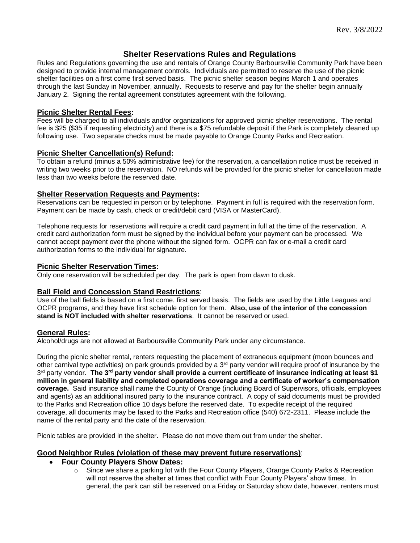## **Shelter Reservations Rules and Regulations**

Rules and Regulations governing the use and rentals of Orange County Barboursville Community Park have been designed to provide internal management controls. Individuals are permitted to reserve the use of the picnic shelter facilities on a first come first served basis. The picnic shelter season begins March 1 and operates through the last Sunday in November, annually. Requests to reserve and pay for the shelter begin annually January 2. Signing the rental agreement constitutes agreement with the following.

#### **Picnic Shelter Rental Fees:**

Fees will be charged to all individuals and/or organizations for approved picnic shelter reservations. The rental fee is \$25 (\$35 if requesting electricity) and there is a \$75 refundable deposit if the Park is completely cleaned up following use. Two separate checks must be made payable to Orange County Parks and Recreation.

#### **Picnic Shelter Cancellation(s) Refund:**

To obtain a refund (minus a 50% administrative fee) for the reservation, a cancellation notice must be received in writing two weeks prior to the reservation. NO refunds will be provided for the picnic shelter for cancellation made less than two weeks before the reserved date.

#### **Shelter Reservation Requests and Payments:**

Reservations can be requested in person or by telephone. Payment in full is required with the reservation form. Payment can be made by cash, check or credit/debit card (VISA or MasterCard).

Telephone requests for reservations will require a credit card payment in full at the time of the reservation. A credit card authorization form must be signed by the individual before your payment can be processed. We cannot accept payment over the phone without the signed form. OCPR can fax or e-mail a credit card authorization forms to the individual for signature.

#### **Picnic Shelter Reservation Times:**

Only one reservation will be scheduled per day. The park is open from dawn to dusk.

#### **Ball Field and Concession Stand Restrictions**:

Use of the ball fields is based on a first come, first served basis. The fields are used by the Little Leagues and OCPR programs, and they have first schedule option for them. **Also, use of the interior of the concession stand is NOT included with shelter reservations**. It cannot be reserved or used.

#### **General Rules:**

Alcohol/drugs are not allowed at Barboursville Community Park under any circumstance.

During the picnic shelter rental, renters requesting the placement of extraneous equipment (moon bounces and other carnival type activities) on park grounds provided by a 3rd party vendor will require proof of insurance by the 3 rd party vendor. **The 3rd party vendor shall provide a current certificate of insurance indicating at least \$1 million in general liability and completed operations coverage and a certificate of worker's compensation coverage.** Said insurance shall name the County of Orange (including Board of Supervisors, officials, employees and agents) as an additional insured party to the insurance contract. A copy of said documents must be provided to the Parks and Recreation office 10 days before the reserved date. To expedite receipt of the required coverage, all documents may be faxed to the Parks and Recreation office (540) 672-2311. Please include the name of the rental party and the date of the reservation.

Picnic tables are provided in the shelter. Please do not move them out from under the shelter.

#### **Good Neighbor Rules (violation of these may prevent future reservations)**:

## • **Four County Players Show Dates:**

o Since we share a parking lot with the Four County Players, Orange County Parks & Recreation will not reserve the shelter at times that conflict with Four County Players' show times. In general, the park can still be reserved on a Friday or Saturday show date, however, renters must